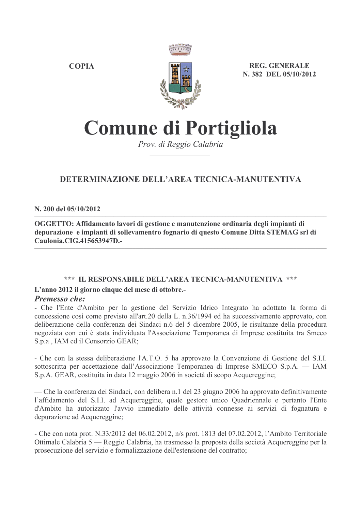**COPIA** 



**REG. GENERALE** N. 382 DEL 05/10/2012

# **Comune di Portigliola**

Prov. di Reggio Calabria

# DETERMINAZIONE DELL'AREA TECNICA-MANUTENTIVA

N. 200 del 05/10/2012

OGGETTO: Affidamento lavori di gestione e manutenzione ordinaria degli impianti di depurazione e impianti di sollevamentro fognario di questo Comune Ditta STEMAG srl di Caulonia.CIG.415653947D.-

# \*\*\* IL RESPONSABILE DELL'AREA TECNICA-MANUTENTIVA \*\*\*

# L'anno 2012 il giorno cinque del mese di ottobre.

#### **Premesso che:**

- Che l'Ente d'Ambito per la gestione del Servizio Idrico Integrato ha adottato la forma di concessione così come previsto all'art.20 della L. n.36/1994 ed ha successivamente approvato, con deliberazione della conferenza dei Sindaci n.6 del 5 dicembre 2005, le risultanze della procedura negoziata con cui è stata individuata l'Associazione Temporanea di Imprese costituita tra Smeco S.p.a., IAM ed il Consorzio GEAR;

- Che con la stessa deliberazione l'A.T.O. 5 ha approvato la Convenzione di Gestione del S.I.I. sottoscritta per accettazione dall'Associazione Temporanea di Imprese SMECO S.p.A. — IAM S.p.A. GEAR, costituita in data 12 maggio 2006 in società di scopo Acquereggine;

— Che la conferenza dei Sindaci, con delibera n.1 del 23 giugno 2006 ha approvato definitivamente l'affidamento del S.I.I. ad Acquereggine, quale gestore unico Quadriennale e pertanto l'Ente d'Ambito ha autorizzato l'avvio immediato delle attività connesse ai servizi di fognatura e depurazione ad Acquereggine;

- Che con nota prot. N.33/2012 del 06.02.2012, n/s prot. 1813 del 07.02.2012, l'Ambito Territoriale Ottimale Calabria 5 — Reggio Calabria, ha trasmesso la proposta della società Acquereggine per la prosecuzione del servizio e formalizzazione dell'estensione del contratto;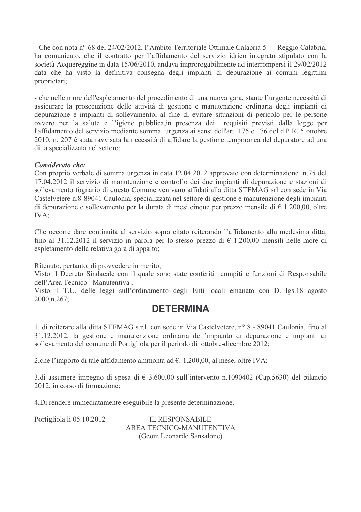- Che con nota nº 68 del 24/02/2012, l'Ambito Territoriale Ottimale Calabria 5 — Reggio Calabria, ha comunicato, che il contratto per l'affidamento del servizio idrico integrato stipulato con la società Acquereggine in data 15/06/2010, andava improrogabilmente ad interrompersi il 29/02/2012 data che ha visto la definitiva consegna degli impianti di depurazione ai comuni legittimi proprietari;

- che nelle more dell'espletamento del procedimento di una nuova gara, stante l'urgente necessità di assicurare la prosecuzione delle attività di gestione e manutenzione ordinaria degli impianti di depurazione e impianti di sollevamento, al fine di evitare situazioni di pericolo per le persone ovvero per la salute e l'igiene pubblica, in presenza dei requisiti previsti dalla legge per l'affidamento del servizio mediante somma urgenza ai sensi dell'art. 175 e 176 del d.P.R. 5 ottobre 2010, n. 207 è stata ravvisata la necessità di affidare la gestione temporanea del depuratore ad una ditta specializzata nel settore;

# Considerato che:

Con proprio verbale di somma urgenza in data 12.04.2012 approvato con determinazione n.75 del 17.04.2012 il servizio di manutenzione e controllo dei due impianti di depurazione e stazioni di sollevamento fognario di questo Comune venivano affidati alla ditta STEMAG srl con sede in Via Castelvetere n.8-89041 Caulonia, specializzata nel settore di gestione e manutenzione degli impianti di depurazione e sollevamento per la durata di mesi cinque per prezzo mensile di  $\epsilon$  1.200,00, oltre IVA:

Che occorre dare continuità al servizio sopra citato reiterando l'affidamento alla medesima ditta, fino al 31.12.2012 il servizio in parola per lo stesso prezzo di  $\epsilon$  1.200,00 mensili nelle more di espletamento della relativa gara di appalto;

Ritenuto, pertanto, di provvedere in merito;

Visto il Decreto Sindacale con il quale sono state conferiti compiti e funzioni di Responsabile dell'Area Tecnico -Manutentiva;

Visto il T.U. delle leggi sull'ordinamento degli Enti locali emanato con D. lgs.18 agosto  $2000 \text{,} n.267$ ;

# **DETERMINA**

1. di reiterare alla ditta STEMAG s.r.l. con sede in Via Castelvetere, nº 8 - 89041 Caulonia, fino al 31.12.2012, la gestione e manutenzione ordinaria dell'impianto di depurazione e impianti di sollevamento del comune di Portigliola per il periodo di ottobre-dicembre 2012;

2.che l'importo di tale affidamento ammonta ad  $\epsilon$ . 1.200,00, al mese, oltre IVA;

3.di assumere impegno di spesa di  $\in$  3.600,00 sull'intervento n.1090402 (Cap.5630) del bilancio 2012, in corso di formazione;

4. Di rendere immediatamente eseguibile la presente determinazione.

Portigliola li 05.10.2012

**IL RESPONSABILE** AREA TECNICO-MANUTENTIVA (Geom.Leonardo Sansalone)